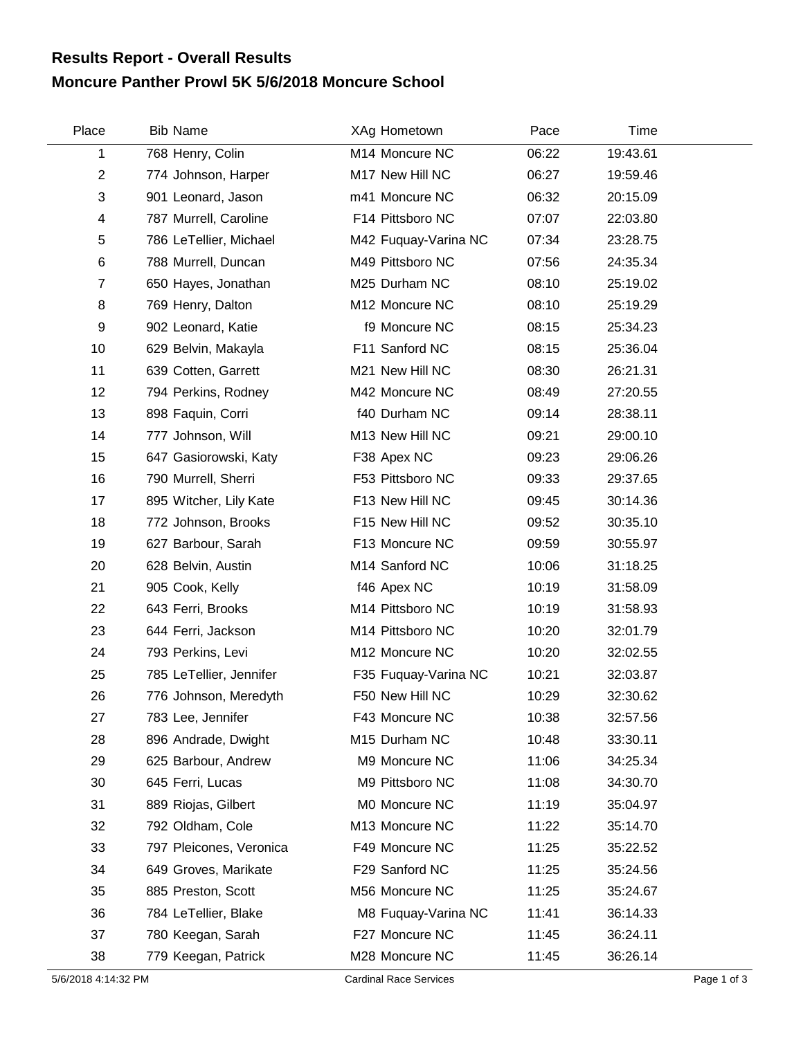## **Moncure Panther Prowl 5K 5/6/2018 Moncure School Results Report - Overall Results**

| Place          | <b>Bib Name</b>         | XAg Hometown         | Pace  | Time     |  |
|----------------|-------------------------|----------------------|-------|----------|--|
| 1              | 768 Henry, Colin        | M14 Moncure NC       | 06:22 | 19:43.61 |  |
| $\overline{c}$ | 774 Johnson, Harper     | M17 New Hill NC      | 06:27 | 19:59.46 |  |
| 3              | 901 Leonard, Jason      | m41 Moncure NC       | 06:32 | 20:15.09 |  |
| 4              | 787 Murrell, Caroline   | F14 Pittsboro NC     | 07:07 | 22:03.80 |  |
| 5              | 786 LeTellier, Michael  | M42 Fuquay-Varina NC | 07:34 | 23:28.75 |  |
| 6              | 788 Murrell, Duncan     | M49 Pittsboro NC     | 07:56 | 24:35.34 |  |
| $\overline{7}$ | 650 Hayes, Jonathan     | M25 Durham NC        | 08:10 | 25:19.02 |  |
| 8              | 769 Henry, Dalton       | M12 Moncure NC       | 08:10 | 25:19.29 |  |
| 9              | 902 Leonard, Katie      | f9 Moncure NC        | 08:15 | 25:34.23 |  |
| 10             | 629 Belvin, Makayla     | F11 Sanford NC       | 08:15 | 25:36.04 |  |
| 11             | 639 Cotten, Garrett     | M21 New Hill NC      | 08:30 | 26:21.31 |  |
| 12             | 794 Perkins, Rodney     | M42 Moncure NC       | 08:49 | 27:20.55 |  |
| 13             | 898 Faquin, Corri       | f40 Durham NC        | 09:14 | 28:38.11 |  |
| 14             | 777 Johnson, Will       | M13 New Hill NC      | 09:21 | 29:00.10 |  |
| 15             | 647 Gasiorowski, Katy   | F38 Apex NC          | 09:23 | 29:06.26 |  |
| 16             | 790 Murrell, Sherri     | F53 Pittsboro NC     | 09:33 | 29:37.65 |  |
| 17             | 895 Witcher, Lily Kate  | F13 New Hill NC      | 09:45 | 30:14.36 |  |
| 18             | 772 Johnson, Brooks     | F15 New Hill NC      | 09:52 | 30:35.10 |  |
| 19             | 627 Barbour, Sarah      | F13 Moncure NC       | 09:59 | 30:55.97 |  |
| 20             | 628 Belvin, Austin      | M14 Sanford NC       | 10:06 | 31:18.25 |  |
| 21             | 905 Cook, Kelly         | f46 Apex NC          | 10:19 | 31:58.09 |  |
| 22             | 643 Ferri, Brooks       | M14 Pittsboro NC     | 10:19 | 31:58.93 |  |
| 23             | 644 Ferri, Jackson      | M14 Pittsboro NC     | 10:20 | 32:01.79 |  |
| 24             | 793 Perkins, Levi       | M12 Moncure NC       | 10:20 | 32:02.55 |  |
| 25             | 785 LeTellier, Jennifer | F35 Fuquay-Varina NC | 10:21 | 32:03.87 |  |
| 26             | 776 Johnson, Meredyth   | F50 New Hill NC      | 10:29 | 32:30.62 |  |
| 27             | 783 Lee, Jennifer       | F43 Moncure NC       | 10:38 | 32:57.56 |  |
| 28             | 896 Andrade, Dwight     | M15 Durham NC        | 10:48 | 33:30.11 |  |
| 29             | 625 Barbour, Andrew     | M9 Moncure NC        | 11:06 | 34:25.34 |  |
| 30             | 645 Ferri, Lucas        | M9 Pittsboro NC      | 11:08 | 34:30.70 |  |
| 31             | 889 Riojas, Gilbert     | M0 Moncure NC        | 11:19 | 35:04.97 |  |
| 32             | 792 Oldham, Cole        | M13 Moncure NC       | 11:22 | 35:14.70 |  |
| 33             | 797 Pleicones, Veronica | F49 Moncure NC       | 11:25 | 35:22.52 |  |
| 34             | 649 Groves, Marikate    | F29 Sanford NC       | 11:25 | 35:24.56 |  |
| 35             | 885 Preston, Scott      | M56 Moncure NC       | 11:25 | 35:24.67 |  |
| 36             | 784 LeTellier, Blake    | M8 Fuquay-Varina NC  | 11:41 | 36:14.33 |  |
| 37             | 780 Keegan, Sarah       | F27 Moncure NC       | 11:45 | 36:24.11 |  |
| 38             | 779 Keegan, Patrick     | M28 Moncure NC       | 11:45 | 36:26.14 |  |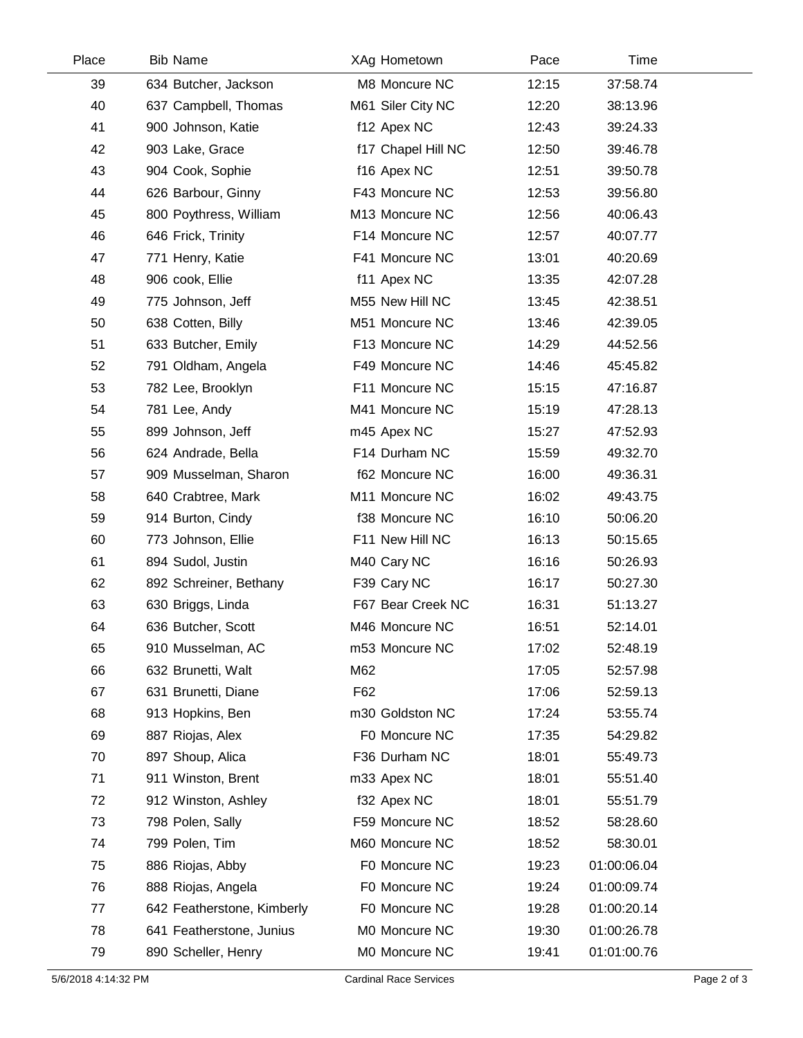| Place | <b>Bib Name</b>            | XAg Hometown       | Pace  | Time        |  |
|-------|----------------------------|--------------------|-------|-------------|--|
| 39    | 634 Butcher, Jackson       | M8 Moncure NC      | 12:15 | 37:58.74    |  |
| 40    | 637 Campbell, Thomas       | M61 Siler City NC  | 12:20 | 38:13.96    |  |
| 41    | 900 Johnson, Katie         | f12 Apex NC        | 12:43 | 39:24.33    |  |
| 42    | 903 Lake, Grace            | f17 Chapel Hill NC | 12:50 | 39:46.78    |  |
| 43    | 904 Cook, Sophie           | f16 Apex NC        | 12:51 | 39:50.78    |  |
| 44    | 626 Barbour, Ginny         | F43 Moncure NC     | 12:53 | 39:56.80    |  |
| 45    | 800 Poythress, William     | M13 Moncure NC     | 12:56 | 40:06.43    |  |
| 46    | 646 Frick, Trinity         | F14 Moncure NC     | 12:57 | 40:07.77    |  |
| 47    | 771 Henry, Katie           | F41 Moncure NC     | 13:01 | 40:20.69    |  |
| 48    | 906 cook, Ellie            | f11 Apex NC        | 13:35 | 42:07.28    |  |
| 49    | 775 Johnson, Jeff          | M55 New Hill NC    | 13:45 | 42:38.51    |  |
| 50    | 638 Cotten, Billy          | M51 Moncure NC     | 13:46 | 42:39.05    |  |
| 51    | 633 Butcher, Emily         | F13 Moncure NC     | 14:29 | 44:52.56    |  |
| 52    | 791 Oldham, Angela         | F49 Moncure NC     | 14:46 | 45:45.82    |  |
| 53    | 782 Lee, Brooklyn          | F11 Moncure NC     | 15:15 | 47:16.87    |  |
| 54    | 781 Lee, Andy              | M41 Moncure NC     | 15:19 | 47:28.13    |  |
| 55    | 899 Johnson, Jeff          | m45 Apex NC        | 15:27 | 47:52.93    |  |
| 56    | 624 Andrade, Bella         | F14 Durham NC      | 15:59 | 49:32.70    |  |
| 57    | 909 Musselman, Sharon      | f62 Moncure NC     | 16:00 | 49:36.31    |  |
| 58    | 640 Crabtree, Mark         | M11 Moncure NC     | 16:02 | 49:43.75    |  |
| 59    | 914 Burton, Cindy          | f38 Moncure NC     | 16:10 | 50:06.20    |  |
| 60    | 773 Johnson, Ellie         | F11 New Hill NC    | 16:13 | 50:15.65    |  |
| 61    | 894 Sudol, Justin          | M40 Cary NC        | 16:16 | 50:26.93    |  |
| 62    | 892 Schreiner, Bethany     | F39 Cary NC        | 16:17 | 50:27.30    |  |
| 63    | 630 Briggs, Linda          | F67 Bear Creek NC  | 16:31 | 51:13.27    |  |
| 64    | 636 Butcher, Scott         | M46 Moncure NC     | 16:51 | 52:14.01    |  |
| 65    | 910 Musselman, AC          | m53 Moncure NC     | 17:02 | 52:48.19    |  |
| 66    | 632 Brunetti, Walt         | M62                | 17:05 | 52:57.98    |  |
| 67    | 631 Brunetti, Diane        | F62                | 17:06 | 52:59.13    |  |
| 68    | 913 Hopkins, Ben           | m30 Goldston NC    | 17:24 | 53:55.74    |  |
| 69    | 887 Riojas, Alex           | F0 Moncure NC      | 17:35 | 54:29.82    |  |
| 70    | 897 Shoup, Alica           | F36 Durham NC      | 18:01 | 55:49.73    |  |
| 71    | 911 Winston, Brent         | m33 Apex NC        | 18:01 | 55:51.40    |  |
| 72    | 912 Winston, Ashley        | f32 Apex NC        | 18:01 | 55:51.79    |  |
| 73    | 798 Polen, Sally           | F59 Moncure NC     | 18:52 | 58:28.60    |  |
| 74    | 799 Polen, Tim             | M60 Moncure NC     | 18:52 | 58:30.01    |  |
| 75    | 886 Riojas, Abby           | F0 Moncure NC      | 19:23 | 01:00:06.04 |  |
| 76    | 888 Riojas, Angela         | F0 Moncure NC      | 19:24 | 01:00:09.74 |  |
| 77    | 642 Featherstone, Kimberly | F0 Moncure NC      | 19:28 | 01:00:20.14 |  |
| 78    | 641 Featherstone, Junius   | M0 Moncure NC      | 19:30 | 01:00:26.78 |  |
| 79    | 890 Scheller, Henry        | M0 Moncure NC      | 19:41 | 01:01:00.76 |  |
|       |                            |                    |       |             |  |